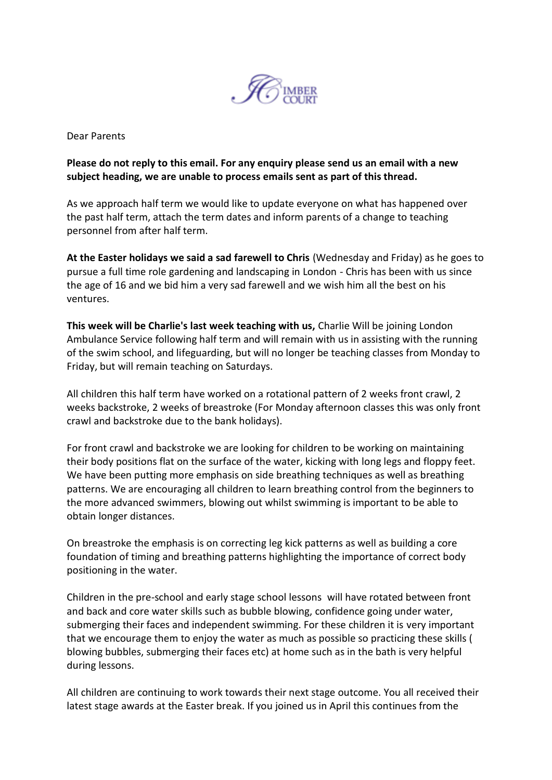

Dear Parents

## **Please do not reply to this email. For any enquiry please send us an email with a new subject heading, we are unable to process emails sent as part of this thread.**

As we approach half term we would like to update everyone on what has happened over the past half term, attach the term dates and inform parents of a change to teaching personnel from after half term.

**At the Easter holidays we said a sad farewell to Chris** (Wednesday and Friday) as he goes to pursue a full time role gardening and landscaping in London - Chris has been with us since the age of 16 and we bid him a very sad farewell and we wish him all the best on his ventures.

**This week will be Charlie's last week teaching with us,** Charlie Will be joining London Ambulance Service following half term and will remain with us in assisting with the running of the swim school, and lifeguarding, but will no longer be teaching classes from Monday to Friday, but will remain teaching on Saturdays.

All children this half term have worked on a rotational pattern of 2 weeks front crawl, 2 weeks backstroke, 2 weeks of breastroke (For Monday afternoon classes this was only front crawl and backstroke due to the bank holidays).

For front crawl and backstroke we are looking for children to be working on maintaining their body positions flat on the surface of the water, kicking with long legs and floppy feet. We have been putting more emphasis on side breathing techniques as well as breathing patterns. We are encouraging all children to learn breathing control from the beginners to the more advanced swimmers, blowing out whilst swimming is important to be able to obtain longer distances.

On breastroke the emphasis is on correcting leg kick patterns as well as building a core foundation of timing and breathing patterns highlighting the importance of correct body positioning in the water.

Children in the pre-school and early stage school lessons will have rotated between front and back and core water skills such as bubble blowing, confidence going under water, submerging their faces and independent swimming. For these children it is very important that we encourage them to enjoy the water as much as possible so practicing these skills ( blowing bubbles, submerging their faces etc) at home such as in the bath is very helpful during lessons.

All children are continuing to work towards their next stage outcome. You all received their latest stage awards at the Easter break. If you joined us in April this continues from the